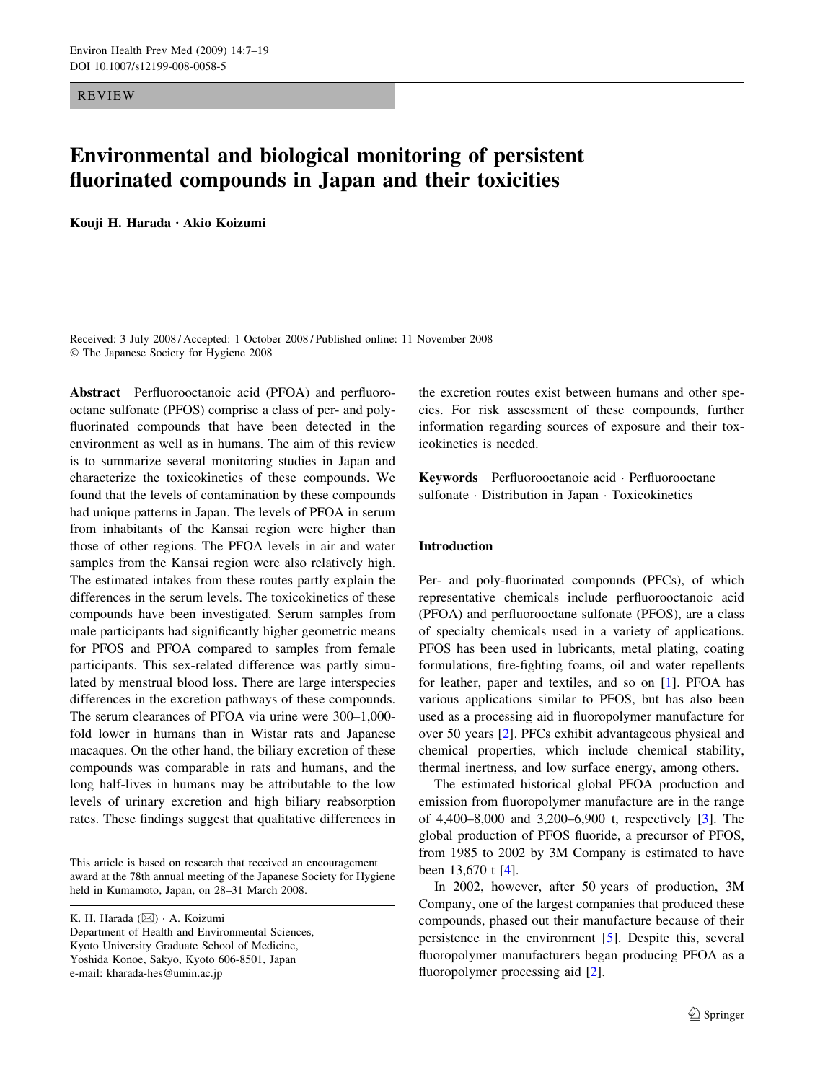REVIEW

# Environmental and biological monitoring of persistent fluorinated compounds in Japan and their toxicities

Kouji H. Harada · Akio Koizumi

Received: 3 July 2008 / Accepted: 1 October 2008 / Published online: 11 November 2008 The Japanese Society for Hygiene 2008

Abstract Perfluorooctanoic acid (PFOA) and perfluorooctane sulfonate (PFOS) comprise a class of per- and polyfluorinated compounds that have been detected in the environment as well as in humans. The aim of this review is to summarize several monitoring studies in Japan and characterize the toxicokinetics of these compounds. We found that the levels of contamination by these compounds had unique patterns in Japan. The levels of PFOA in serum from inhabitants of the Kansai region were higher than those of other regions. The PFOA levels in air and water samples from the Kansai region were also relatively high. The estimated intakes from these routes partly explain the differences in the serum levels. The toxicokinetics of these compounds have been investigated. Serum samples from male participants had significantly higher geometric means for PFOS and PFOA compared to samples from female participants. This sex-related difference was partly simulated by menstrual blood loss. There are large interspecies differences in the excretion pathways of these compounds. The serum clearances of PFOA via urine were 300–1,000 fold lower in humans than in Wistar rats and Japanese macaques. On the other hand, the biliary excretion of these compounds was comparable in rats and humans, and the long half-lives in humans may be attributable to the low levels of urinary excretion and high biliary reabsorption rates. These findings suggest that qualitative differences in

This article is based on research that received an encouragement award at the 78th annual meeting of the Japanese Society for Hygiene held in Kumamoto, Japan, on 28–31 March 2008.

K. H. Harada (⊠) · A. Koizumi Department of Health and Environmental Sciences, Kyoto University Graduate School of Medicine, Yoshida Konoe, Sakyo, Kyoto 606-8501, Japan e-mail: kharada-hes@umin.ac.jp

the excretion routes exist between humans and other species. For risk assessment of these compounds, further information regarding sources of exposure and their toxicokinetics is needed.

Keywords Perfluorooctanoic acid · Perfluorooctane sulfonate · Distribution in Japan · Toxicokinetics

## Introduction

Per- and poly-fluorinated compounds (PFCs), of which representative chemicals include perfluorooctanoic acid (PFOA) and perfluorooctane sulfonate (PFOS), are a class of specialty chemicals used in a variety of applications. PFOS has been used in lubricants, metal plating, coating formulations, fire-fighting foams, oil and water repellents for leather, paper and textiles, and so on [\[1](#page-9-0)]. PFOA has various applications similar to PFOS, but has also been used as a processing aid in fluoropolymer manufacture for over 50 years [\[2](#page-9-0)]. PFCs exhibit advantageous physical and chemical properties, which include chemical stability, thermal inertness, and low surface energy, among others.

The estimated historical global PFOA production and emission from fluoropolymer manufacture are in the range of 4,400–8,000 and 3,200–6,900 t, respectively [\[3](#page-9-0)]. The global production of PFOS fluoride, a precursor of PFOS, from 1985 to 2002 by 3M Company is estimated to have been 13,670 t [[4\]](#page-9-0).

In 2002, however, after 50 years of production, 3M Company, one of the largest companies that produced these compounds, phased out their manufacture because of their persistence in the environment [\[5](#page-9-0)]. Despite this, several fluoropolymer manufacturers began producing PFOA as a fluoropolymer processing aid [[2\]](#page-9-0).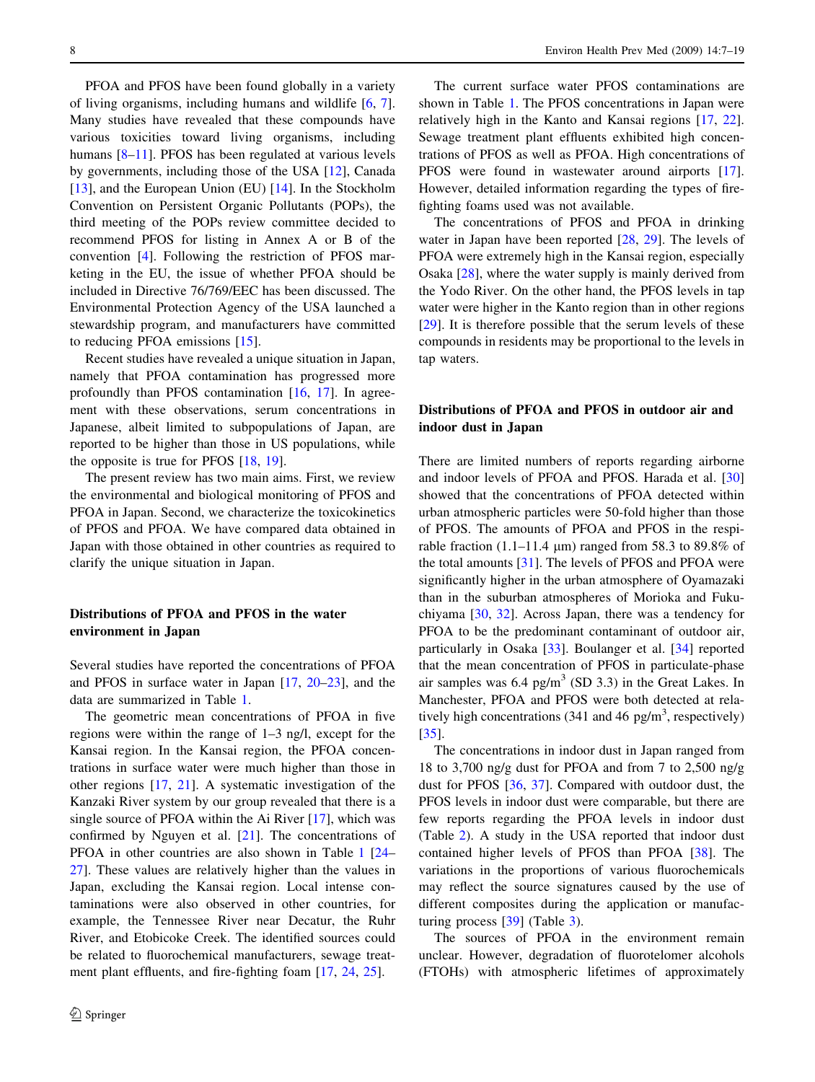PFOA and PFOS have been found globally in a variety of living organisms, including humans and wildlife [\[6,](#page-9-0) [7](#page-9-0)]. Many studies have revealed that these compounds have various toxicities toward living organisms, including humans  $[8-11]$ . PFOS has been regulated at various levels by governments, including those of the USA [\[12](#page-9-0)], Canada [\[13](#page-9-0)], and the European Union (EU) [[14\]](#page-9-0). In the Stockholm Convention on Persistent Organic Pollutants (POPs), the third meeting of the POPs review committee decided to recommend PFOS for listing in Annex A or B of the convention [[4\]](#page-9-0). Following the restriction of PFOS marketing in the EU, the issue of whether PFOA should be included in Directive 76/769/EEC has been discussed. The Environmental Protection Agency of the USA launched a stewardship program, and manufacturers have committed to reducing PFOA emissions [\[15](#page-9-0)].

Recent studies have revealed a unique situation in Japan, namely that PFOA contamination has progressed more profoundly than PFOS contamination [\[16](#page-9-0), [17](#page-9-0)]. In agreement with these observations, serum concentrations in Japanese, albeit limited to subpopulations of Japan, are reported to be higher than those in US populations, while the opposite is true for PFOS [\[18](#page-9-0), [19\]](#page-9-0).

The present review has two main aims. First, we review the environmental and biological monitoring of PFOS and PFOA in Japan. Second, we characterize the toxicokinetics of PFOS and PFOA. We have compared data obtained in Japan with those obtained in other countries as required to clarify the unique situation in Japan.

# Distributions of PFOA and PFOS in the water environment in Japan

Several studies have reported the concentrations of PFOA and PFOS in surface water in Japan [\[17,](#page-9-0) [20–23](#page-9-0)], and the data are summarized in Table [1](#page-2-0).

The geometric mean concentrations of PFOA in five regions were within the range of 1–3 ng/l, except for the Kansai region. In the Kansai region, the PFOA concentrations in surface water were much higher than those in other regions [\[17](#page-9-0), [21\]](#page-9-0). A systematic investigation of the Kanzaki River system by our group revealed that there is a single source of PFOA within the Ai River [\[17](#page-9-0)], which was confirmed by Nguyen et al. [[21\]](#page-9-0). The concentrations of PFOA in other countries are also shown in Table [1](#page-2-0) [\[24](#page-9-0)– [27\]](#page-9-0). These values are relatively higher than the values in Japan, excluding the Kansai region. Local intense contaminations were also observed in other countries, for example, the Tennessee River near Decatur, the Ruhr River, and Etobicoke Creek. The identified sources could be related to fluorochemical manufacturers, sewage treatment plant effluents, and fire-fighting foam [\[17](#page-9-0), [24,](#page-9-0) [25\]](#page-9-0).

The current surface water PFOS contaminations are shown in Table [1.](#page-2-0) The PFOS concentrations in Japan were relatively high in the Kanto and Kansai regions [\[17](#page-9-0), [22](#page-9-0)]. Sewage treatment plant effluents exhibited high concentrations of PFOS as well as PFOA. High concentrations of PFOS were found in wastewater around airports [\[17](#page-9-0)]. However, detailed information regarding the types of firefighting foams used was not available.

The concentrations of PFOS and PFOA in drinking water in Japan have been reported [[28,](#page-9-0) [29\]](#page-9-0). The levels of PFOA were extremely high in the Kansai region, especially Osaka [\[28](#page-9-0)], where the water supply is mainly derived from the Yodo River. On the other hand, the PFOS levels in tap water were higher in the Kanto region than in other regions [\[29](#page-9-0)]. It is therefore possible that the serum levels of these compounds in residents may be proportional to the levels in tap waters.

# Distributions of PFOA and PFOS in outdoor air and indoor dust in Japan

There are limited numbers of reports regarding airborne and indoor levels of PFOA and PFOS. Harada et al. [[30\]](#page-10-0) showed that the concentrations of PFOA detected within urban atmospheric particles were 50-fold higher than those of PFOS. The amounts of PFOA and PFOS in the respirable fraction (1.1–11.4 *l*m) ranged from 58.3 to 89.8% of the total amounts [[31\]](#page-10-0). The levels of PFOS and PFOA were significantly higher in the urban atmosphere of Oyamazaki than in the suburban atmospheres of Morioka and Fukuchiyama [[30,](#page-10-0) [32\]](#page-10-0). Across Japan, there was a tendency for PFOA to be the predominant contaminant of outdoor air, particularly in Osaka [\[33](#page-10-0)]. Boulanger et al. [[34\]](#page-10-0) reported that the mean concentration of PFOS in particulate-phase air samples was  $6.4$  pg/m<sup>3</sup> (SD 3.3) in the Great Lakes. In Manchester, PFOA and PFOS were both detected at relatively high concentrations (341 and 46 pg/m<sup>3</sup>, respectively) [\[35](#page-10-0)].

The concentrations in indoor dust in Japan ranged from 18 to 3,700 ng/g dust for PFOA and from 7 to 2,500 ng/g dust for PFOS [\[36](#page-10-0), [37](#page-10-0)]. Compared with outdoor dust, the PFOS levels in indoor dust were comparable, but there are few reports regarding the PFOA levels in indoor dust (Table [2\)](#page-3-0). A study in the USA reported that indoor dust contained higher levels of PFOS than PFOA [[38\]](#page-10-0). The variations in the proportions of various fluorochemicals may reflect the source signatures caused by the use of different composites during the application or manufacturing process [[39\]](#page-10-0) (Table [3](#page-3-0)).

The sources of PFOA in the environment remain unclear. However, degradation of fluorotelomer alcohols (FTOHs) with atmospheric lifetimes of approximately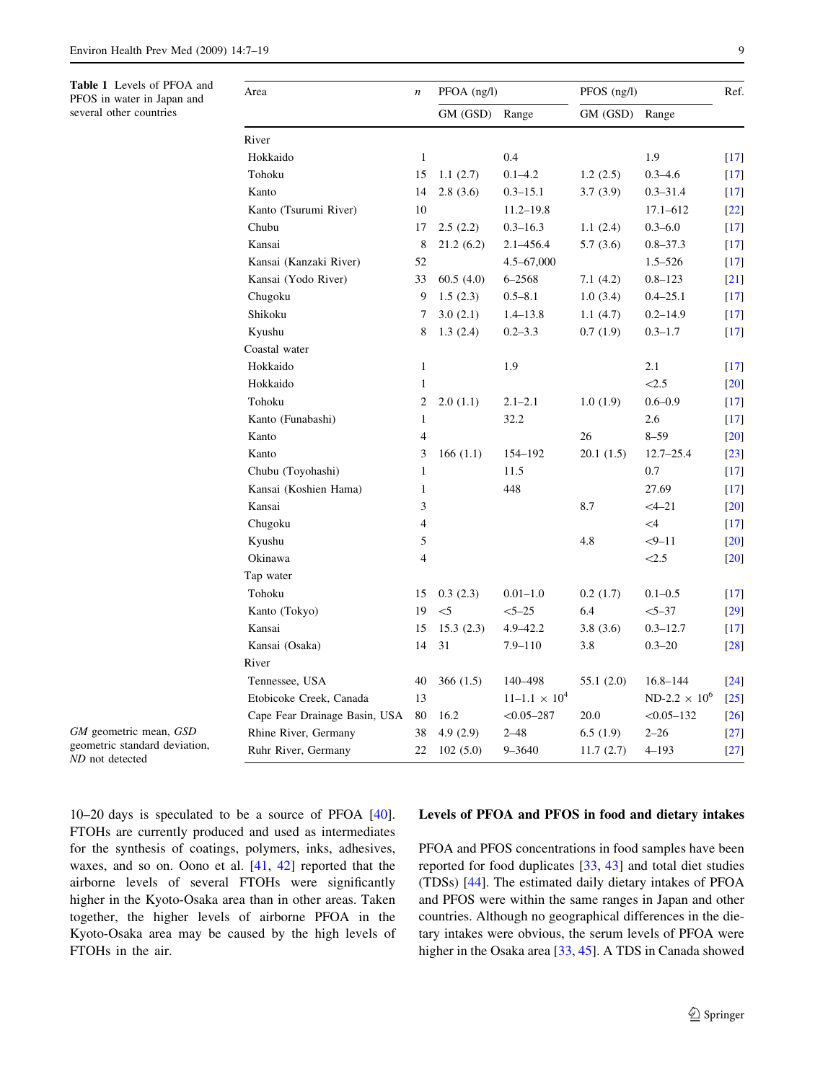<span id="page-2-0"></span>Table 1 Levels of PFOA and PFOS in water in Japan and several other countries

| Area                          | $\boldsymbol{n}$ | $PFOA$ (ng/l) |                      | $PFOS$ (ng/l) |                      | Ref.               |
|-------------------------------|------------------|---------------|----------------------|---------------|----------------------|--------------------|
|                               |                  | GM (GSD)      | Range                | GM (GSD)      | Range                |                    |
| River                         |                  |               |                      |               |                      |                    |
| Hokkaido                      | $\mathbf{1}$     |               | 0.4                  |               | 1.9                  | $[17]$             |
| Tohoku                        | 15               | 1.1(2.7)      | $0.1 - 4.2$          | 1.2(2.5)      | $0.3 - 4.6$          | $[17]$             |
| Kanto                         | 14               | 2.8(3.6)      | $0.3 - 15.1$         | 3.7(3.9)      | $0.3 - 31.4$         | $[17]$             |
| Kanto (Tsurumi River)         | 10               |               | $11.2 - 19.8$        |               | $17.1 - 612$         | $[22]$             |
| Chubu                         | 17               | 2.5(2.2)      | $0.3 - 16.3$         | 1.1(2.4)      | $0.3 - 6.0$          | $\lceil 17 \rceil$ |
| Kansai                        | 8                | 21.2(6.2)     | $2.1 - 456.4$        | 5.7(3.6)      | $0.8 - 37.3$         | $\lceil 17 \rceil$ |
| Kansai (Kanzaki River)        | 52               |               | $4.5 - 67,000$       |               | $1.5 - 526$          | $[17]$             |
| Kansai (Yodo River)           | 33               | 60.5(4.0)     | $6 - 2568$           | 7.1(4.2)      | $0.8 - 123$          | $[21]$             |
| Chugoku                       | 9                | 1.5(2.3)      | $0.5 - 8.1$          | 1.0(3.4)      | $0.4 - 25.1$         | $[17]$             |
| Shikoku                       | 7                | 3.0(2.1)      | $1.4 - 13.8$         | 1.1(4.7)      | $0.2 - 14.9$         | $[17]$             |
| Kyushu                        | 8                | 1.3(2.4)      | $0.2 - 3.3$          | 0.7(1.9)      | $0.3 - 1.7$          | $\lceil 17 \rceil$ |
| Coastal water                 |                  |               |                      |               |                      |                    |
| Hokkaido                      | $\mathbf{1}$     |               | 1.9                  |               | 2.1                  | $[17]$             |
| Hokkaido                      | $\mathbf{1}$     |               |                      |               | < 2.5                | $[20]$             |
| Tohoku                        | 2                | 2.0(1.1)      | $2.1 - 2.1$          | 1.0(1.9)      | $0.6 - 0.9$          | $[17]$             |
| Kanto (Funabashi)             | $\mathbf{1}$     |               | 32.2                 |               | 2.6                  | $\lceil 17 \rceil$ |
| Kanto                         | 4                |               |                      | 26            | $8 - 59$             | $[20]$             |
| Kanto                         | 3                | 166(1.1)      | 154-192              | 20.1(1.5)     | $12.7 - 25.4$        | $[23]$             |
| Chubu (Toyohashi)             | $\mathbf{1}$     |               | 11.5                 |               | 0.7                  | $\lceil 17 \rceil$ |
| Kansai (Koshien Hama)         | 1                |               | 448                  |               | 27.69                | $[17]$             |
| Kansai                        | 3                |               |                      | 8.7           | $<4 - 21$            | $[20]$             |
| Chugoku                       | 4                |               |                      |               | $\leq$ 4             | $\lceil 17 \rceil$ |
| Kyushu                        | 5                |               |                      | 4.8           | $-9 - 11$            | $[20]$             |
| Okinawa                       | $\overline{4}$   |               |                      |               | < 2.5                | $[20]$             |
| Tap water                     |                  |               |                      |               |                      |                    |
| Tohoku                        | 15               | 0.3(2.3)      | $0.01 - 1.0$         | 0.2(1.7)      | $0.1 - 0.5$          | $[17]$             |
| Kanto (Tokyo)                 | 19               | $<$ 5         | $5 - 25$             | 6.4           | $<5 - 37$            | $[29]$             |
| Kansai                        | 15               | 15.3(2.3)     | $4.9 - 42.2$         | 3.8(3.6)      | $0.3 - 12.7$         | $[17]$             |
| Kansai (Osaka)                | 14               | 31            | $7.9 - 110$          | 3.8           | $0.3 - 20$           | $[28]$             |
| River                         |                  |               |                      |               |                      |                    |
| Tennessee, USA                | 40               | 366(1.5)      | 140-498              | 55.1(2.0)     | $16.8 - 144$         | $[24]$             |
| Etobicoke Creek, Canada       | 13               |               | $11-1.1 \times 10^4$ |               | $ND-2.2 \times 10^6$ | $[25]$             |
| Cape Fear Drainage Basin, USA | 80               | 16.2          | $< 0.05 - 287$       | 20.0          | $< 0.05 - 132$       | $[26]$             |
| Rhine River, Germany          | 38               | 4.9(2.9)      | $2 - 48$             | 6.5(1.9)      | $2 - 26$             | $[27]$             |
| Ruhr River, Germany           | 22               | 102(5.0)      | 9-3640               | 11.7(2.7)     | $4 - 193$            | $[27]$             |

GM geometric mean, GSD geometric standard deviation, ND not detected

10–20 days is speculated to be a source of PFOA [\[40](#page-10-0)]. FTOHs are currently produced and used as intermediates for the synthesis of coatings, polymers, inks, adhesives, waxes, and so on. Oono et al. [[41,](#page-10-0) [42\]](#page-10-0) reported that the airborne levels of several FTOHs were significantly higher in the Kyoto-Osaka area than in other areas. Taken together, the higher levels of airborne PFOA in the Kyoto-Osaka area may be caused by the high levels of FTOHs in the air.

#### Levels of PFOA and PFOS in food and dietary intakes

PFOA and PFOS concentrations in food samples have been reported for food duplicates [[33,](#page-10-0) [43](#page-10-0)] and total diet studies (TDSs) [[44\]](#page-10-0). The estimated daily dietary intakes of PFOA and PFOS were within the same ranges in Japan and other countries. Although no geographical differences in the dietary intakes were obvious, the serum levels of PFOA were higher in the Osaka area [\[33](#page-10-0), [45\]](#page-10-0). A TDS in Canada showed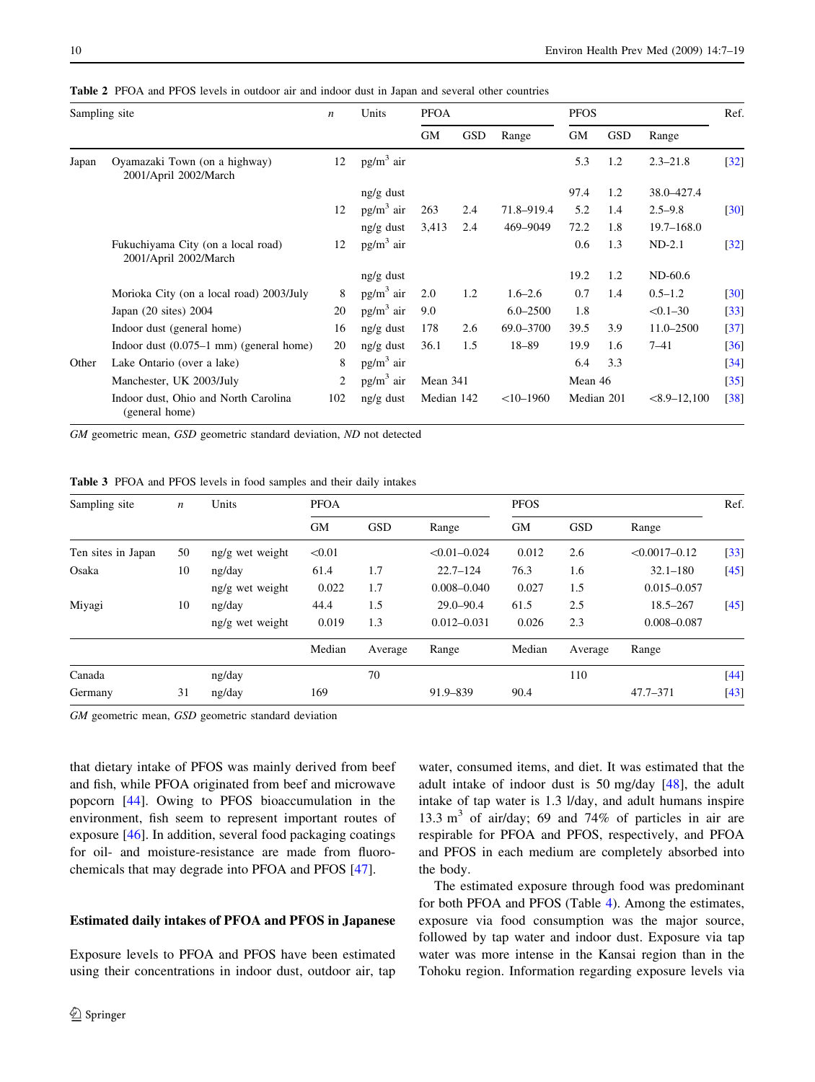| Sampling site |                                                             | $\boldsymbol{n}$ | Units        | <b>PFOA</b> |            |              | <b>PFOS</b> |            |                  | Ref.               |
|---------------|-------------------------------------------------------------|------------------|--------------|-------------|------------|--------------|-------------|------------|------------------|--------------------|
|               |                                                             |                  |              | <b>GM</b>   | <b>GSD</b> | Range        | <b>GM</b>   | <b>GSD</b> | Range            |                    |
| Japan         | Oyamazaki Town (on a highway)<br>2001/April 2002/March      | 12               | $pg/m3$ air  |             |            |              | 5.3         | 1.2        | $2.3 - 21.8$     | $[32]$             |
|               |                                                             |                  | $ng/g$ dust  |             |            |              | 97.4        | 1.2        | 38.0-427.4       |                    |
|               |                                                             | 12               | $pg/m3$ air  | 263         | 2.4        | 71.8-919.4   | 5.2         | 1.4        | $2.5 - 9.8$      | $\lceil 30 \rceil$ |
|               |                                                             |                  | $ng/g$ dust  | 3,413       | 2.4        | 469-9049     | 72.2        | 1.8        | $19.7 - 168.0$   |                    |
|               | Fukuchiyama City (on a local road)<br>2001/April 2002/March | 12               | $pg/m3$ air  |             |            |              | 0.6         | 1.3        | $ND-2.1$         | $[32]$             |
|               |                                                             |                  | ng/g dust    |             |            |              | 19.2        | 1.2        | $ND-60.6$        |                    |
|               | Morioka City (on a local road) 2003/July                    | 8                | $pg/m^3$ air | 2.0         | 1.2        | $1.6 - 2.6$  | 0.7         | 1.4        | $0.5 - 1.2$      | $[30]$             |
|               | Japan $(20 \text{ sites})$ 2004                             | 20               | $pg/m3$ air  | 9.0         |            | $6.0 - 2500$ | 1.8         |            | $< 0.1 - 30$     | $[33]$             |
|               | Indoor dust (general home)                                  | 16               | $ng/g$ dust  | 178         | 2.6        | 69.0-3700    | 39.5        | 3.9        | $11.0 - 2500$    | $[37]$             |
|               | Indoor dust $(0.075-1 \text{ mm})$ (general home)           | 20               | $ng/g$ dust  | 36.1        | 1.5        | $18 - 89$    | 19.9        | 1.6        | $7 - 41$         | [36]               |
| Other         | Lake Ontario (over a lake)                                  | 8                | $pg/m^3$ air |             |            |              | 6.4         | 3.3        |                  | $\left[34\right]$  |
|               | Manchester, UK 2003/July                                    | 2                | $pg/m3$ air  | Mean 341    |            |              | Mean 46     |            |                  | $\left[35\right]$  |
|               | Indoor dust, Ohio and North Carolina<br>(general home)      | 102              | $ng/g$ dust  | Median 142  |            | $<10-1960$   | Median 201  |            | $< 8.9 - 12,100$ | [38]               |

<span id="page-3-0"></span>Table 2 PFOA and PFOS levels in outdoor air and indoor dust in Japan and several other countries

GM geometric mean, GSD geometric standard deviation, ND not detected

Table 3 PFOA and PFOS levels in food samples and their daily intakes

| Sampling site      | $\boldsymbol{n}$ | Units           | <b>PFOA</b> |            |                  | <b>PFOS</b> |            |                   | Ref.   |
|--------------------|------------------|-----------------|-------------|------------|------------------|-------------|------------|-------------------|--------|
|                    |                  |                 | <b>GM</b>   | <b>GSD</b> | Range            | <b>GM</b>   | <b>GSD</b> | Range             |        |
| Ten sites in Japan | 50               | ng/g wet weight | < 0.01      |            | $< 0.01 - 0.024$ | 0.012       | 2.6        | $< 0.0017 - 0.12$ | $[33]$ |
| Osaka              | 10               | ng/day          | 61.4        | 1.7        | $22.7 - 124$     | 76.3        | 1.6        | $32.1 - 180$      | $[45]$ |
|                    |                  | ng/g wet weight | 0.022       | 1.7        | $0.008 - 0.040$  | 0.027       | 1.5        | $0.015 - 0.057$   |        |
| Miyagi             | 10               | ng/day          | 44.4        | 1.5        | $29.0 - 90.4$    | 61.5        | 2.5        | $18.5 - 267$      | $[45]$ |
|                    |                  | ng/g wet weight | 0.019       | 1.3        | $0.012 - 0.031$  | 0.026       | 2.3        | $0.008 - 0.087$   |        |
|                    |                  |                 | Median      | Average    | Range            | Median      | Average    | Range             |        |
| Canada             |                  | ng/day          |             | 70         |                  |             | 110        |                   | $[44]$ |
| Germany            | 31               | ng/day          | 169         |            | 91.9-839         | 90.4        |            | $47.7 - 371$      | $[43]$ |

GM geometric mean, GSD geometric standard deviation

that dietary intake of PFOS was mainly derived from beef and fish, while PFOA originated from beef and microwave popcorn [[44\]](#page-10-0). Owing to PFOS bioaccumulation in the environment, fish seem to represent important routes of exposure [\[46](#page-10-0)]. In addition, several food packaging coatings for oil- and moisture-resistance are made from fluorochemicals that may degrade into PFOA and PFOS [\[47](#page-10-0)].

### Estimated daily intakes of PFOA and PFOS in Japanese

Exposure levels to PFOA and PFOS have been estimated using their concentrations in indoor dust, outdoor air, tap water, consumed items, and diet. It was estimated that the adult intake of indoor dust is 50 mg/day [[48\]](#page-10-0), the adult intake of tap water is 1.3 l/day, and adult humans inspire 13.3  $m<sup>3</sup>$  of air/day; 69 and 74% of particles in air are respirable for PFOA and PFOS, respectively, and PFOA and PFOS in each medium are completely absorbed into the body.

The estimated exposure through food was predominant for both PFOA and PFOS (Table [4\)](#page-4-0). Among the estimates, exposure via food consumption was the major source, followed by tap water and indoor dust. Exposure via tap water was more intense in the Kansai region than in the Tohoku region. Information regarding exposure levels via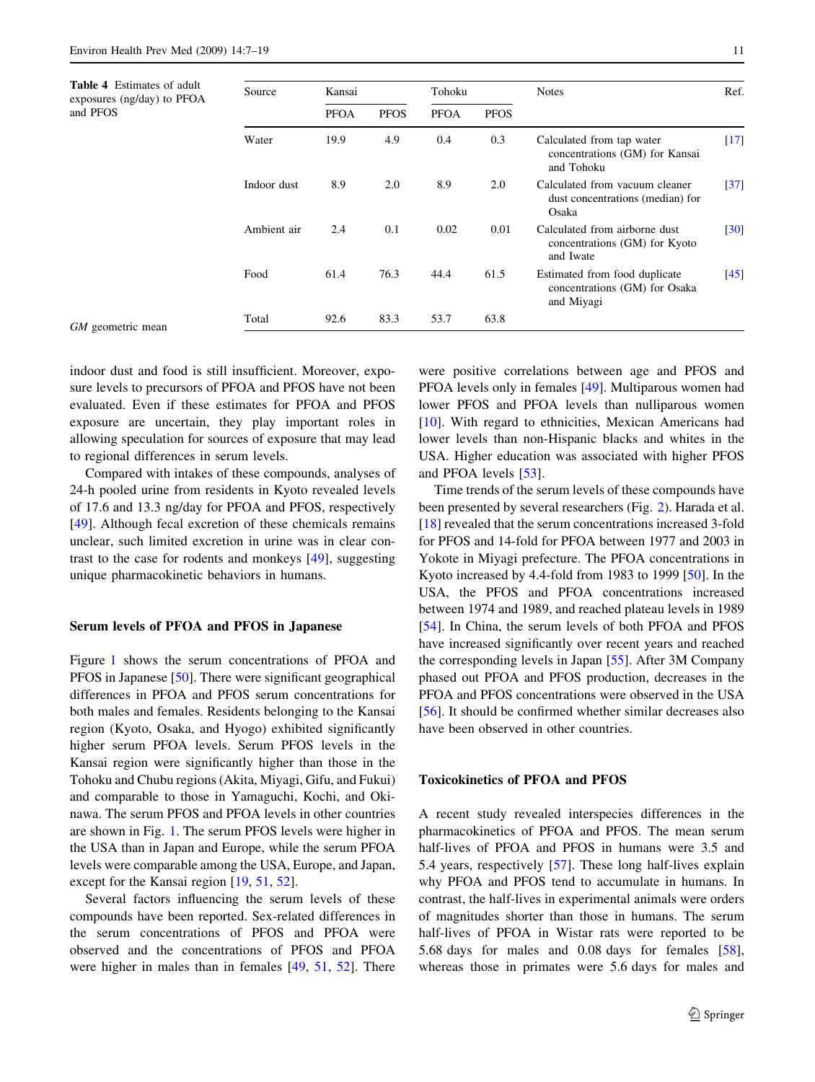<span id="page-4-0"></span>Table 4 Estimates of adult exposures (ng/day) to PFOA

and PFOS

Ambient air 2.4 0.1 0.02 0.01 Calculated from airborne dust

Food 61.4 76.3 44.4 61.5 Estimated from food duplicate

Total 92.6 83.3 53.7 63.8

GM geometric mean

indoor dust and food is still insufficient. Moreover, exposure levels to precursors of PFOA and PFOS have not been evaluated. Even if these estimates for PFOA and PFOS exposure are uncertain, they play important roles in allowing speculation for sources of exposure that may lead to regional differences in serum levels.

Compared with intakes of these compounds, analyses of 24-h pooled urine from residents in Kyoto revealed levels of 17.6 and 13.3 ng/day for PFOA and PFOS, respectively [\[49](#page-10-0)]. Although fecal excretion of these chemicals remains unclear, such limited excretion in urine was in clear contrast to the case for rodents and monkeys [\[49](#page-10-0)], suggesting unique pharmacokinetic behaviors in humans.

#### Serum levels of PFOA and PFOS in Japanese

Figure [1](#page-5-0) shows the serum concentrations of PFOA and PFOS in Japanese [\[50](#page-10-0)]. There were significant geographical differences in PFOA and PFOS serum concentrations for both males and females. Residents belonging to the Kansai region (Kyoto, Osaka, and Hyogo) exhibited significantly higher serum PFOA levels. Serum PFOS levels in the Kansai region were significantly higher than those in the Tohoku and Chubu regions (Akita, Miyagi, Gifu, and Fukui) and comparable to those in Yamaguchi, Kochi, and Okinawa. The serum PFOS and PFOA levels in other countries are shown in Fig. [1.](#page-5-0) The serum PFOS levels were higher in the USA than in Japan and Europe, while the serum PFOA levels were comparable among the USA, Europe, and Japan, except for the Kansai region [[19,](#page-9-0) [51](#page-10-0), [52](#page-10-0)].

Several factors influencing the serum levels of these compounds have been reported. Sex-related differences in the serum concentrations of PFOS and PFOA were observed and the concentrations of PFOS and PFOA were higher in males than in females [[49](#page-10-0), [51,](#page-10-0) [52](#page-10-0)]. There were positive correlations between age and PFOS and PFOA levels only in females [[49\]](#page-10-0). Multiparous women had lower PFOS and PFOA levels than nulliparous women [\[10](#page-9-0)]. With regard to ethnicities, Mexican Americans had lower levels than non-Hispanic blacks and whites in the USA. Higher education was associated with higher PFOS and PFOA levels [[53\]](#page-10-0).

Osaka

and Iwate

and Miyagi

dust concentrations (median) for

concentrations (GM) for Kyoto

concentrations (GM) for Osaka

Time trends of the serum levels of these compounds have been presented by several researchers (Fig. [2\)](#page-5-0). Harada et al. [\[18](#page-9-0)] revealed that the serum concentrations increased 3-fold for PFOS and 14-fold for PFOA between 1977 and 2003 in Yokote in Miyagi prefecture. The PFOA concentrations in Kyoto increased by 4.4-fold from 1983 to 1999 [[50\]](#page-10-0). In the USA, the PFOS and PFOA concentrations increased between 1974 and 1989, and reached plateau levels in 1989 [\[54](#page-10-0)]. In China, the serum levels of both PFOA and PFOS have increased significantly over recent years and reached the corresponding levels in Japan [\[55](#page-10-0)]. After 3M Company phased out PFOA and PFOS production, decreases in the PFOA and PFOS concentrations were observed in the USA [\[56](#page-10-0)]. It should be confirmed whether similar decreases also have been observed in other countries.

#### Toxicokinetics of PFOA and PFOS

A recent study revealed interspecies differences in the pharmacokinetics of PFOA and PFOS. The mean serum half-lives of PFOA and PFOS in humans were 3.5 and 5.4 years, respectively [[57\]](#page-10-0). These long half-lives explain why PFOA and PFOS tend to accumulate in humans. In contrast, the half-lives in experimental animals were orders of magnitudes shorter than those in humans. The serum half-lives of PFOA in Wistar rats were reported to be 5.68 days for males and 0.08 days for females [\[58](#page-10-0)], whereas those in primates were 5.6 days for males and

[[30](#page-10-0)]

[[45](#page-10-0)]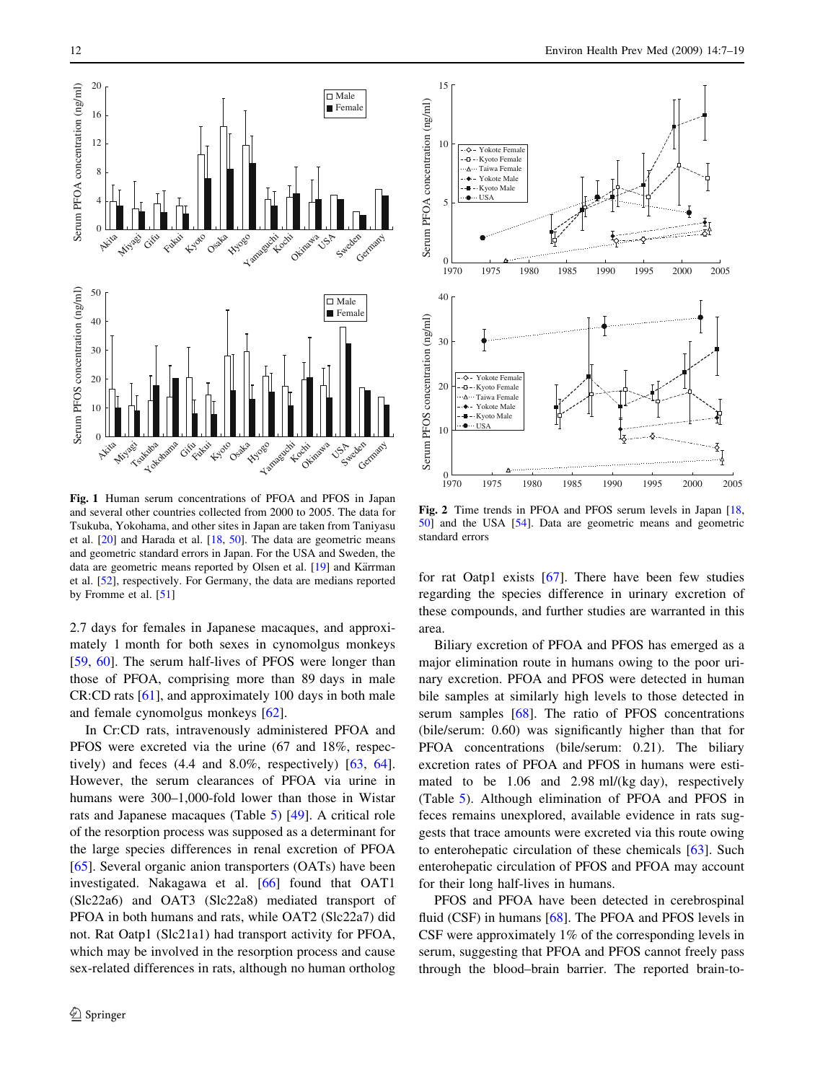<span id="page-5-0"></span>

Fig. 1 Human serum concentrations of PFOA and PFOS in Japan and several other countries collected from 2000 to 2005. The data for Tsukuba, Yokohama, and other sites in Japan are taken from Taniyasu et al. [\[20\]](#page-9-0) and Harada et al. [\[18,](#page-9-0) [50](#page-10-0)]. The data are geometric means and geometric standard errors in Japan. For the USA and Sweden, the data are geometric means reported by Olsen et al. [[19](#page-9-0)] and Kärrman et al. [[52](#page-10-0)], respectively. For Germany, the data are medians reported by Fromme et al. [[51](#page-10-0)]

2.7 days for females in Japanese macaques, and approximately 1 month for both sexes in cynomolgus monkeys [\[59](#page-10-0), [60\]](#page-10-0). The serum half-lives of PFOS were longer than those of PFOA, comprising more than 89 days in male CR:CD rats [[61\]](#page-10-0), and approximately 100 days in both male and female cynomolgus monkeys [\[62](#page-10-0)].

In Cr:CD rats, intravenously administered PFOA and PFOS were excreted via the urine (67 and 18%, respectively) and feces (4.4 and 8.0%, respectively) [[63,](#page-10-0) [64](#page-10-0)]. However, the serum clearances of PFOA via urine in humans were 300–1,000-fold lower than those in Wistar rats and Japanese macaques (Table [5\)](#page-6-0) [[49\]](#page-10-0). A critical role of the resorption process was supposed as a determinant for the large species differences in renal excretion of PFOA [\[65](#page-11-0)]. Several organic anion transporters (OATs) have been investigated. Nakagawa et al. [[66\]](#page-11-0) found that OAT1 (Slc22a6) and OAT3 (Slc22a8) mediated transport of PFOA in both humans and rats, while OAT2 (Slc22a7) did not. Rat Oatp1 (Slc21a1) had transport activity for PFOA, which may be involved in the resorption process and cause sex-related differences in rats, although no human ortholog



Fig. 2 Time trends in PFOA and PFOS serum levels in Japan [[18](#page-9-0), [50\]](#page-10-0) and the USA [[54](#page-10-0)]. Data are geometric means and geometric standard errors

for rat Oatp1 exists [\[67](#page-11-0)]. There have been few studies regarding the species difference in urinary excretion of these compounds, and further studies are warranted in this area.

Biliary excretion of PFOA and PFOS has emerged as a major elimination route in humans owing to the poor urinary excretion. PFOA and PFOS were detected in human bile samples at similarly high levels to those detected in serum samples [[68\]](#page-11-0). The ratio of PFOS concentrations (bile/serum: 0.60) was significantly higher than that for PFOA concentrations (bile/serum: 0.21). The biliary excretion rates of PFOA and PFOS in humans were estimated to be 1.06 and 2.98 ml/(kg day), respectively (Table [5\)](#page-6-0). Although elimination of PFOA and PFOS in feces remains unexplored, available evidence in rats suggests that trace amounts were excreted via this route owing to enterohepatic circulation of these chemicals [[63\]](#page-10-0). Such enterohepatic circulation of PFOS and PFOA may account for their long half-lives in humans.

PFOS and PFOA have been detected in cerebrospinal fluid (CSF) in humans [[68\]](#page-11-0). The PFOA and PFOS levels in CSF were approximately 1% of the corresponding levels in serum, suggesting that PFOA and PFOS cannot freely pass through the blood–brain barrier. The reported brain-to-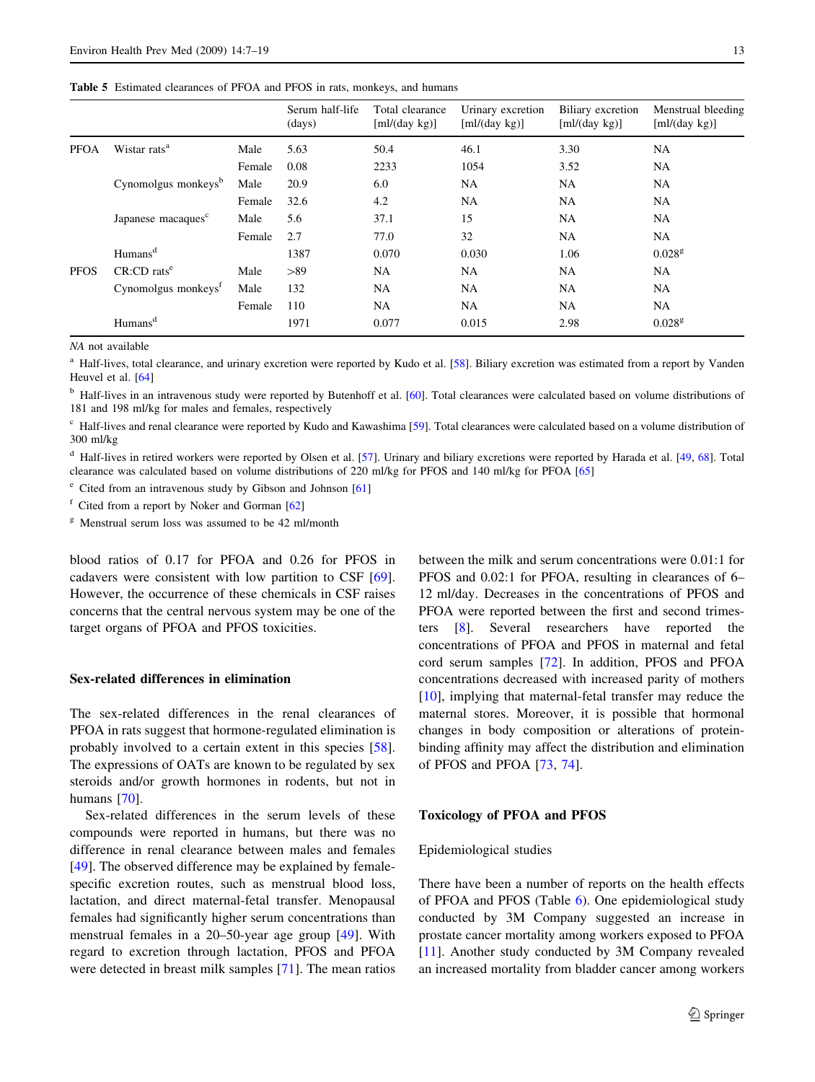<span id="page-6-0"></span>Table 5 Estimated clearances of PFOA and PFOS in rats, monkeys, and humans

|             |                                 |        | Serum half-life<br>(days) | Total clearance<br>$[m]/(day \text{ kg})]$ | Urinary excretion<br>$[m]/(\text{day kg})]$ | Biliary excretion<br>$[m]/(\text{day kg})]$ | Menstrual bleeding<br>$[m]/(\text{day kg})]$ |
|-------------|---------------------------------|--------|---------------------------|--------------------------------------------|---------------------------------------------|---------------------------------------------|----------------------------------------------|
| <b>PFOA</b> | Wistar rats <sup>a</sup>        | Male   | 5.63                      | 50.4                                       | 46.1                                        | 3.30                                        | <b>NA</b>                                    |
|             |                                 | Female | 0.08                      | 2233                                       | 1054                                        | 3.52                                        | <b>NA</b>                                    |
|             | Cynomolgus monkeys <sup>b</sup> | Male   | 20.9                      | 6.0                                        | <b>NA</b>                                   | NA                                          | <b>NA</b>                                    |
|             |                                 | Female | 32.6                      | 4.2                                        | <b>NA</b>                                   | <b>NA</b>                                   | <b>NA</b>                                    |
|             | Japanese macaques <sup>c</sup>  | Male   | 5.6                       | 37.1                                       | 15                                          | NA                                          | <b>NA</b>                                    |
|             |                                 | Female | 2.7                       | 77.0                                       | 32                                          | NA                                          | <b>NA</b>                                    |
|             | Humans <sup>d</sup>             |        | 1387                      | 0.070                                      | 0.030                                       | 1.06                                        | $0.028^{\rm g}$                              |
| <b>PFOS</b> | $CR:CD$ rats <sup>e</sup>       | Male   | >89                       | <b>NA</b>                                  | <b>NA</b>                                   | <b>NA</b>                                   | <b>NA</b>                                    |
|             | Cynomolgus monkeys <sup>t</sup> | Male   | 132                       | <b>NA</b>                                  | <b>NA</b>                                   | NA                                          | <b>NA</b>                                    |
|             |                                 | Female | 110                       | <b>NA</b>                                  | <b>NA</b>                                   | NA                                          | <b>NA</b>                                    |
|             | Humans <sup>d</sup>             |        | 1971                      | 0.077                                      | 0.015                                       | 2.98                                        | 0.028 <sup>g</sup>                           |

NA not available

<sup>a</sup> Half-lives, total clearance, and urinary excretion were reported by Kudo et al. [[58](#page-10-0)]. Biliary excretion was estimated from a report by Vanden Heuvel et al. [\[64\]](#page-10-0)

<sup>b</sup> Half-lives in an intravenous study were reported by Butenhoff et al. [\[60\]](#page-10-0). Total clearances were calculated based on volume distributions of 181 and 198 ml/kg for males and females, respectively

<sup>c</sup> Half-lives and renal clearance were reported by Kudo and Kawashima [[59](#page-10-0)]. Total clearances were calculated based on a volume distribution of 300 ml/kg

<sup>d</sup> Half-lives in retired workers were reported by Olsen et al. [[57](#page-10-0)]. Urinary and biliary excretions were reported by Harada et al. [\[49,](#page-10-0) [68\]](#page-11-0). Total clearance was calculated based on volume distributions of 220 ml/kg for PFOS and 140 ml/kg for PFOA [\[65\]](#page-11-0)

<sup>e</sup> Cited from an intravenous study by Gibson and Johnson [\[61\]](#page-10-0)

<sup>f</sup> Cited from a report by Noker and Gorman [[62\]](#page-10-0)

<sup>g</sup> Menstrual serum loss was assumed to be 42 ml/month

blood ratios of 0.17 for PFOA and 0.26 for PFOS in cadavers were consistent with low partition to CSF [\[69](#page-11-0)]. However, the occurrence of these chemicals in CSF raises concerns that the central nervous system may be one of the target organs of PFOA and PFOS toxicities.

#### Sex-related differences in elimination

The sex-related differences in the renal clearances of PFOA in rats suggest that hormone-regulated elimination is probably involved to a certain extent in this species [\[58](#page-10-0)]. The expressions of OATs are known to be regulated by sex steroids and/or growth hormones in rodents, but not in humans [[70\]](#page-11-0).

Sex-related differences in the serum levels of these compounds were reported in humans, but there was no difference in renal clearance between males and females [\[49](#page-10-0)]. The observed difference may be explained by femalespecific excretion routes, such as menstrual blood loss, lactation, and direct maternal-fetal transfer. Menopausal females had significantly higher serum concentrations than menstrual females in a 20–50-year age group [\[49](#page-10-0)]. With regard to excretion through lactation, PFOS and PFOA were detected in breast milk samples [[71\]](#page-11-0). The mean ratios between the milk and serum concentrations were 0.01:1 for PFOS and 0.02:1 for PFOA, resulting in clearances of 6– 12 ml/day. Decreases in the concentrations of PFOS and PFOA were reported between the first and second trimesters [[8\]](#page-9-0). Several researchers have reported the concentrations of PFOA and PFOS in maternal and fetal cord serum samples [[72\]](#page-11-0). In addition, PFOS and PFOA concentrations decreased with increased parity of mothers [\[10](#page-9-0)], implying that maternal-fetal transfer may reduce the maternal stores. Moreover, it is possible that hormonal changes in body composition or alterations of proteinbinding affinity may affect the distribution and elimination of PFOS and PFOA [[73,](#page-11-0) [74](#page-11-0)].

#### Toxicology of PFOA and PFOS

#### Epidemiological studies

There have been a number of reports on the health effects of PFOA and PFOS (Table [6\)](#page-7-0). One epidemiological study conducted by 3M Company suggested an increase in prostate cancer mortality among workers exposed to PFOA [\[11](#page-9-0)]. Another study conducted by 3M Company revealed an increased mortality from bladder cancer among workers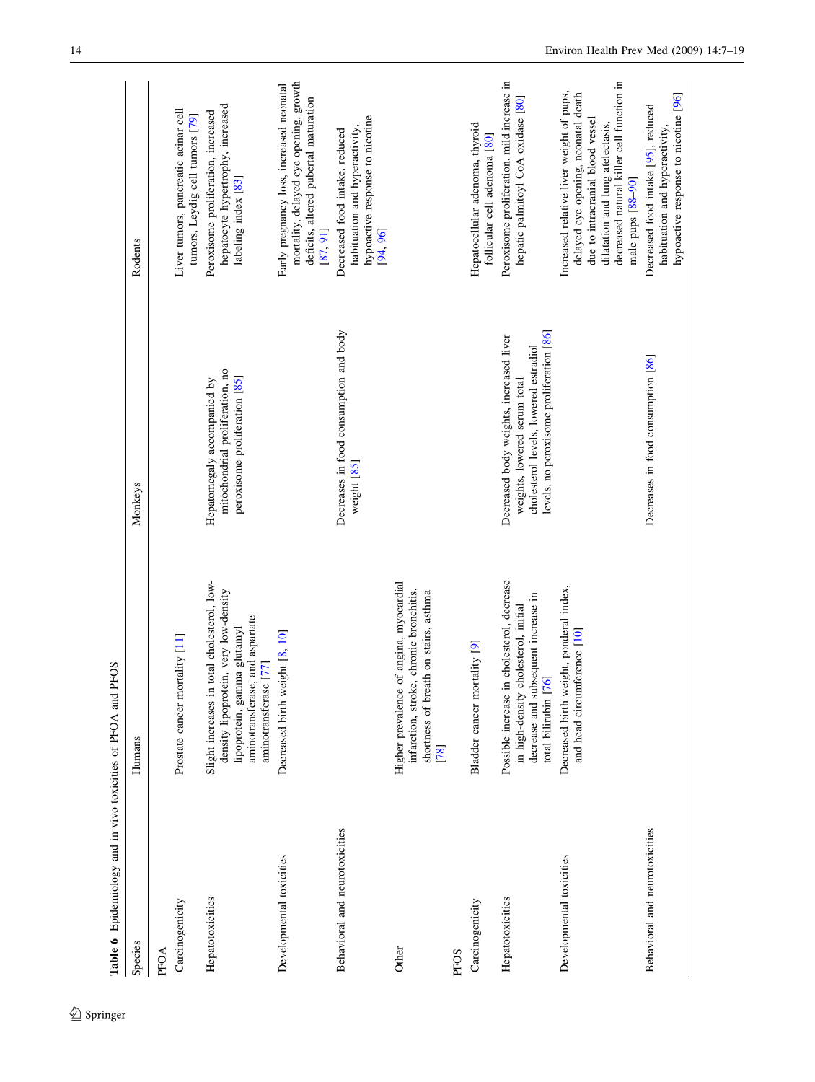<span id="page-7-0"></span>

| Table 6 Epidemiology and in vivo toxicities of PFOA and PFOS |                                                                                                                                                                                    |                                                                                                                                                              |                                                                                                                                                                                                                           |
|--------------------------------------------------------------|------------------------------------------------------------------------------------------------------------------------------------------------------------------------------------|--------------------------------------------------------------------------------------------------------------------------------------------------------------|---------------------------------------------------------------------------------------------------------------------------------------------------------------------------------------------------------------------------|
| Species                                                      | Humans                                                                                                                                                                             | Monkeys                                                                                                                                                      | Rodents                                                                                                                                                                                                                   |
| Carcinogenicity<br>PFOA                                      | Prostate cancer mortality [11]                                                                                                                                                     |                                                                                                                                                              | Liver tumors, pancreatic acinar cell                                                                                                                                                                                      |
|                                                              |                                                                                                                                                                                    |                                                                                                                                                              | tumors, Leydig cell tumors [79]                                                                                                                                                                                           |
| Hepatotoxicities                                             | Slight increases in total cholesterol, low-<br>density lipoprotein, very low-density<br>and aspartate<br>lipoprotein, gamma glutamyl<br>aminotransferase [77]<br>aminotransferase, | mitochondrial proliferation, no<br>peroxisome proliferation [85]<br>Hepatomegaly accompanied by                                                              | hepatocyte hypertrophy, increased<br>Peroxisome proliferation, increased<br>labeling index [83]                                                                                                                           |
| Developmental toxicities                                     | ight [8, 10]<br>Decreased birth wei                                                                                                                                                |                                                                                                                                                              | mortality, delayed eye opening, growth<br>Early pregnancy loss, increased neonatal<br>deficits, altered pubertal maturation<br>[87, 91]                                                                                   |
| Behavioral and neurotoxicities                               |                                                                                                                                                                                    | Decreases in food consumption and body<br>weight [85]                                                                                                        | hypoactive response to nicotine<br>habituation and hyperactivity,<br>Decreased food intake, reduced<br>[94, 96]                                                                                                           |
| Other                                                        | Higher prevalence of angina, myocardial<br>infarction, stroke, chronic bronchitis,<br>shortness of breath on stairs, asthma<br>[78]                                                |                                                                                                                                                              |                                                                                                                                                                                                                           |
| PFOS                                                         |                                                                                                                                                                                    |                                                                                                                                                              |                                                                                                                                                                                                                           |
| Carcinogenicity                                              | Bladder cancer mortality [9]                                                                                                                                                       |                                                                                                                                                              | Hepatocellular adenoma, thyroid<br>follicular cell adenoma [80]                                                                                                                                                           |
| Hepatotoxicities                                             | cholesterol, decrease<br>decrease and subsequent increase in<br>in high-density cholesterol, initial<br>total bilirubin [76]<br>Possible increase in                               | levels, no peroxisome proliferation [86]<br>Decreased body weights, increased liver<br>cholesterol levels, lowered estradiol<br>weights, lowered serum total | Peroxisome proliferation, mild increase in<br>hepatic palmitoyl CoA oxidase [80]                                                                                                                                          |
| Developmental toxicities                                     | Decreased birth weight, ponderal index,<br>$[$ erence $[10]$<br>and head circum                                                                                                    |                                                                                                                                                              | decreased natural killer cell function in<br>Increased relative liver weight of pups,<br>delayed eye opening, neonatal death<br>due to intracranial blood vessel<br>dilatation and lung atelectasis,<br>male pups [88-90] |
| Behavioral and neurotoxicities                               |                                                                                                                                                                                    | Decreases in food consumption [86]                                                                                                                           | hypoactive response to nicotine [96]<br>Decreased food intake [95], reduced<br>habituation and hyperactivity,                                                                                                             |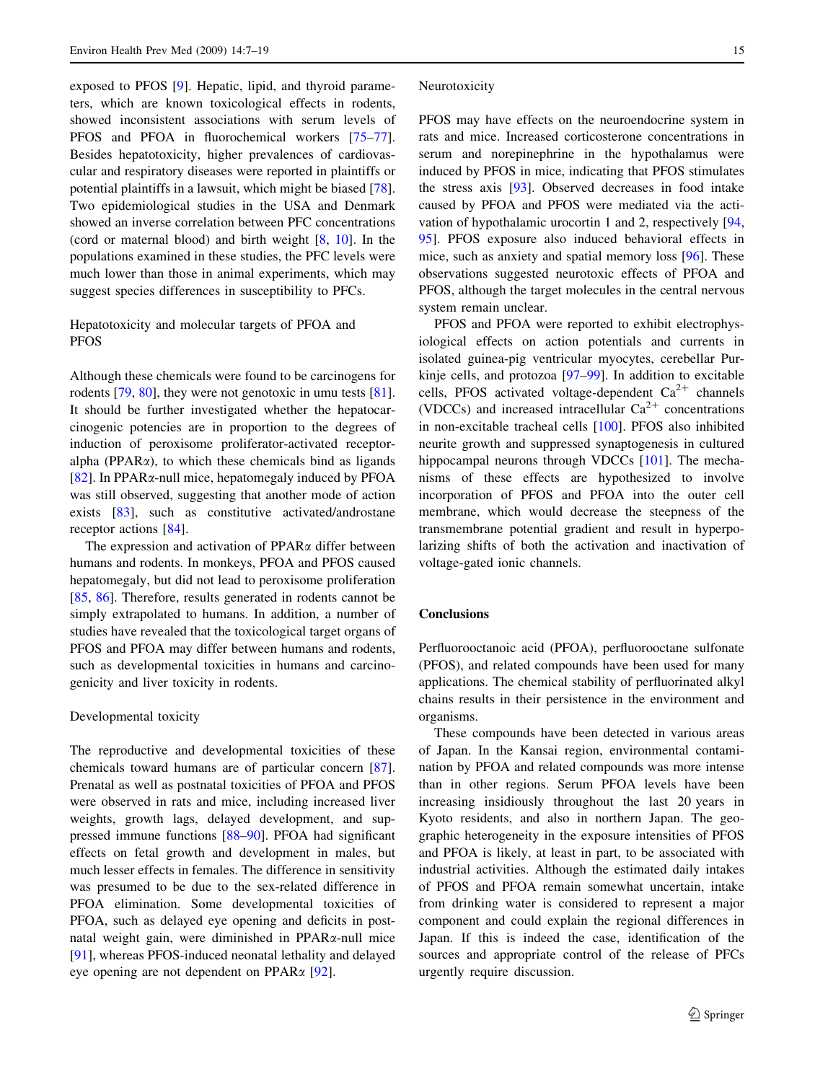exposed to PFOS [\[9](#page-9-0)]. Hepatic, lipid, and thyroid parameters, which are known toxicological effects in rodents, showed inconsistent associations with serum levels of PFOS and PFOA in fluorochemical workers [\[75–77](#page-11-0)]. Besides hepatotoxicity, higher prevalences of cardiovascular and respiratory diseases were reported in plaintiffs or potential plaintiffs in a lawsuit, which might be biased [\[78](#page-11-0)]. Two epidemiological studies in the USA and Denmark showed an inverse correlation between PFC concentrations (cord or maternal blood) and birth weight [\[8](#page-9-0), [10\]](#page-9-0). In the populations examined in these studies, the PFC levels were much lower than those in animal experiments, which may suggest species differences in susceptibility to PFCs.

# Hepatotoxicity and molecular targets of PFOA and PFOS

Although these chemicals were found to be carcinogens for rodents [\[79](#page-11-0), [80](#page-11-0)], they were not genotoxic in umu tests [\[81](#page-11-0)]. It should be further investigated whether the hepatocarcinogenic potencies are in proportion to the degrees of induction of peroxisome proliferator-activated receptoralpha (PPAR $\alpha$ ), to which these chemicals bind as ligands [\[82](#page-11-0)]. In PPAR $\alpha$ -null mice, hepatomegaly induced by PFOA was still observed, suggesting that another mode of action exists [\[83](#page-11-0)], such as constitutive activated/androstane receptor actions [\[84](#page-11-0)].

The expression and activation of  $PPAR\alpha$  differ between humans and rodents. In monkeys, PFOA and PFOS caused hepatomegaly, but did not lead to peroxisome proliferation [\[85](#page-11-0), [86](#page-11-0)]. Therefore, results generated in rodents cannot be simply extrapolated to humans. In addition, a number of studies have revealed that the toxicological target organs of PFOS and PFOA may differ between humans and rodents, such as developmental toxicities in humans and carcinogenicity and liver toxicity in rodents.

#### Developmental toxicity

The reproductive and developmental toxicities of these chemicals toward humans are of particular concern [\[87](#page-11-0)]. Prenatal as well as postnatal toxicities of PFOA and PFOS were observed in rats and mice, including increased liver weights, growth lags, delayed development, and suppressed immune functions [[88–90\]](#page-11-0). PFOA had significant effects on fetal growth and development in males, but much lesser effects in females. The difference in sensitivity was presumed to be due to the sex-related difference in PFOA elimination. Some developmental toxicities of PFOA, such as delayed eye opening and deficits in postnatal weight gain, were diminished in PPARa-null mice [\[91](#page-11-0)], whereas PFOS-induced neonatal lethality and delayed eye opening are not dependent on PPARa [[92\]](#page-11-0).

#### Neurotoxicity

PFOS may have effects on the neuroendocrine system in rats and mice. Increased corticosterone concentrations in serum and norepinephrine in the hypothalamus were induced by PFOS in mice, indicating that PFOS stimulates the stress axis [\[93](#page-11-0)]. Observed decreases in food intake caused by PFOA and PFOS were mediated via the activation of hypothalamic urocortin 1 and 2, respectively [[94,](#page-11-0) [95](#page-11-0)]. PFOS exposure also induced behavioral effects in mice, such as anxiety and spatial memory loss [[96](#page-11-0)]. These observations suggested neurotoxic effects of PFOA and PFOS, although the target molecules in the central nervous system remain unclear.

PFOS and PFOA were reported to exhibit electrophysiological effects on action potentials and currents in isolated guinea-pig ventricular myocytes, cerebellar Purkinje cells, and protozoa [\[97–99](#page-12-0)]. In addition to excitable cells, PFOS activated voltage-dependent  $Ca^{2+}$  channels (VDCCs) and increased intracellular  $Ca^{2+}$  concentrations in non-excitable tracheal cells [[100\]](#page-12-0). PFOS also inhibited neurite growth and suppressed synaptogenesis in cultured hippocampal neurons through VDCCs [[101\]](#page-12-0). The mechanisms of these effects are hypothesized to involve incorporation of PFOS and PFOA into the outer cell membrane, which would decrease the steepness of the transmembrane potential gradient and result in hyperpolarizing shifts of both the activation and inactivation of voltage-gated ionic channels.

## **Conclusions**

Perfluorooctanoic acid (PFOA), perfluorooctane sulfonate (PFOS), and related compounds have been used for many applications. The chemical stability of perfluorinated alkyl chains results in their persistence in the environment and organisms.

These compounds have been detected in various areas of Japan. In the Kansai region, environmental contamination by PFOA and related compounds was more intense than in other regions. Serum PFOA levels have been increasing insidiously throughout the last 20 years in Kyoto residents, and also in northern Japan. The geographic heterogeneity in the exposure intensities of PFOS and PFOA is likely, at least in part, to be associated with industrial activities. Although the estimated daily intakes of PFOS and PFOA remain somewhat uncertain, intake from drinking water is considered to represent a major component and could explain the regional differences in Japan. If this is indeed the case, identification of the sources and appropriate control of the release of PFCs urgently require discussion.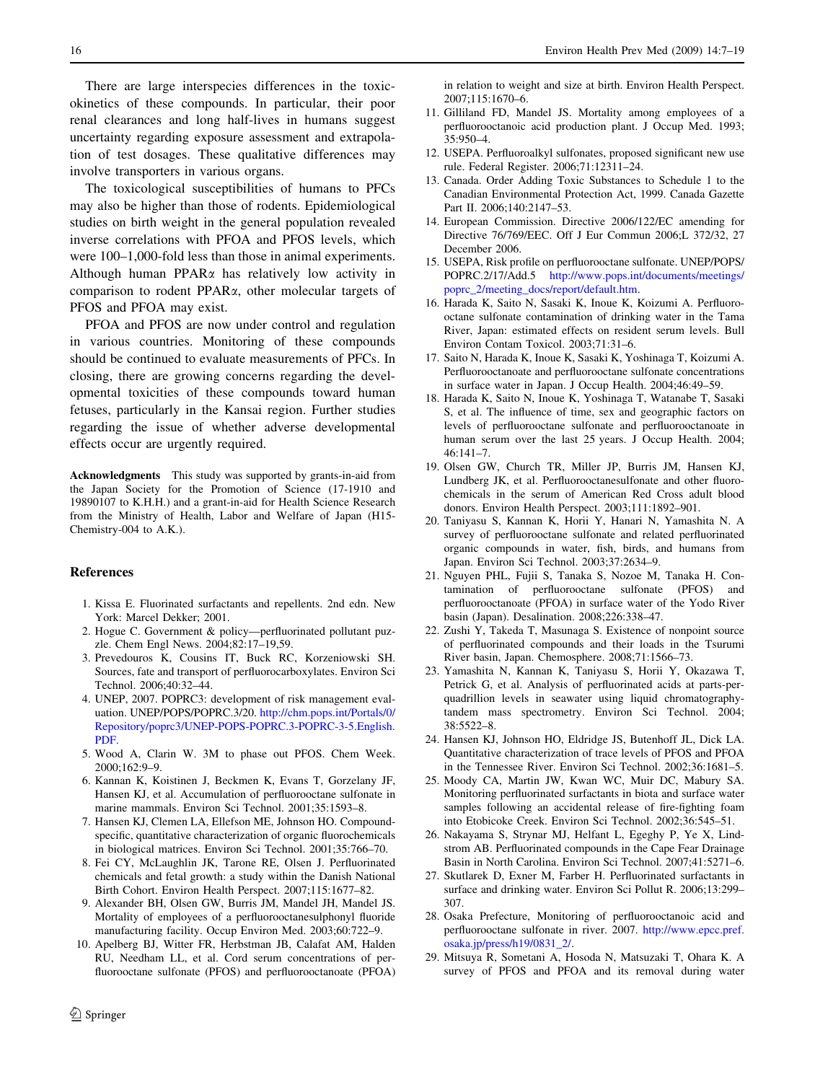<span id="page-9-0"></span>There are large interspecies differences in the toxicokinetics of these compounds. In particular, their poor renal clearances and long half-lives in humans suggest uncertainty regarding exposure assessment and extrapolation of test dosages. These qualitative differences may involve transporters in various organs.

The toxicological susceptibilities of humans to PFCs may also be higher than those of rodents. Epidemiological studies on birth weight in the general population revealed inverse correlations with PFOA and PFOS levels, which were 100–1,000-fold less than those in animal experiments. Although human PPAR $\alpha$  has relatively low activity in comparison to rodent PPARa, other molecular targets of PFOS and PFOA may exist.

PFOA and PFOS are now under control and regulation in various countries. Monitoring of these compounds should be continued to evaluate measurements of PFCs. In closing, there are growing concerns regarding the developmental toxicities of these compounds toward human fetuses, particularly in the Kansai region. Further studies regarding the issue of whether adverse developmental effects occur are urgently required.

Acknowledgments This study was supported by grants-in-aid from the Japan Society for the Promotion of Science (17-1910 and 19890107 to K.H.H.) and a grant-in-aid for Health Science Research from the Ministry of Health, Labor and Welfare of Japan (H15- Chemistry-004 to A.K.).

### References

- 1. Kissa E. Fluorinated surfactants and repellents. 2nd edn. New York: Marcel Dekker; 2001.
- 2. Hogue C. Government & policy—perfluorinated pollutant puzzle. Chem Engl News. 2004;82:17–19,59.
- 3. Prevedouros K, Cousins IT, Buck RC, Korzeniowski SH. Sources, fate and transport of perfluorocarboxylates. Environ Sci Technol. 2006;40:32–44.
- 4. UNEP, 2007. POPRC3: development of risk management evaluation. UNEP/POPS/POPRC.3/20. [http://chm.pops.int/Portals/0/](http://chm.pops.int/Portals/0/Repository/poprc3/UNEP-POPS-POPRC.3-POPRC-3-5.English.PDF.) [Repository/poprc3/UNEP-POPS-POPRC.3-POPRC-3-5.English.](http://chm.pops.int/Portals/0/Repository/poprc3/UNEP-POPS-POPRC.3-POPRC-3-5.English.PDF.) [PDF.](http://chm.pops.int/Portals/0/Repository/poprc3/UNEP-POPS-POPRC.3-POPRC-3-5.English.PDF.)
- 5. Wood A, Clarin W. 3M to phase out PFOS. Chem Week. 2000;162:9–9.
- 6. Kannan K, Koistinen J, Beckmen K, Evans T, Gorzelany JF, Hansen KJ, et al. Accumulation of perfluorooctane sulfonate in marine mammals. Environ Sci Technol. 2001;35:1593–8.
- 7. Hansen KJ, Clemen LA, Ellefson ME, Johnson HO. Compoundspecific, quantitative characterization of organic fluorochemicals in biological matrices. Environ Sci Technol. 2001;35:766–70.
- 8. Fei CY, McLaughlin JK, Tarone RE, Olsen J. Perfluorinated chemicals and fetal growth: a study within the Danish National Birth Cohort. Environ Health Perspect. 2007;115:1677–82.
- 9. Alexander BH, Olsen GW, Burris JM, Mandel JH, Mandel JS. Mortality of employees of a perfluorooctanesulphonyl fluoride manufacturing facility. Occup Environ Med. 2003;60:722–9.
- 10. Apelberg BJ, Witter FR, Herbstman JB, Calafat AM, Halden RU, Needham LL, et al. Cord serum concentrations of perfluorooctane sulfonate (PFOS) and perfluorooctanoate (PFOA)

in relation to weight and size at birth. Environ Health Perspect. 2007;115:1670–6.

- 11. Gilliland FD, Mandel JS. Mortality among employees of a perfluorooctanoic acid production plant. J Occup Med. 1993; 35:950–4.
- 12. USEPA. Perfluoroalkyl sulfonates, proposed significant new use rule. Federal Register. 2006;71:12311–24.
- 13. Canada. Order Adding Toxic Substances to Schedule 1 to the Canadian Environmental Protection Act, 1999. Canada Gazette Part II. 2006;140:2147–53.
- 14. European Commission. Directive 2006/122/EC amending for Directive 76/769/EEC. Off J Eur Commun 2006;L 372/32, 27 December 2006.
- 15. USEPA, Risk profile on perfluorooctane sulfonate. UNEP/POPS/ POPRC.2/17/Add.5 [http://www.pops.int/documents/meetings/](http://www.pops.int/documents/meetings/poprc_2/meeting_docs/report/default.htm) [poprc\\_2/meeting\\_docs/report/default.htm](http://www.pops.int/documents/meetings/poprc_2/meeting_docs/report/default.htm).
- 16. Harada K, Saito N, Sasaki K, Inoue K, Koizumi A. Perfluorooctane sulfonate contamination of drinking water in the Tama River, Japan: estimated effects on resident serum levels. Bull Environ Contam Toxicol. 2003;71:31–6.
- 17. Saito N, Harada K, Inoue K, Sasaki K, Yoshinaga T, Koizumi A. Perfluorooctanoate and perfluorooctane sulfonate concentrations in surface water in Japan. J Occup Health. 2004;46:49–59.
- 18. Harada K, Saito N, Inoue K, Yoshinaga T, Watanabe T, Sasaki S, et al. The influence of time, sex and geographic factors on levels of perfluorooctane sulfonate and perfluorooctanoate in human serum over the last 25 years. J Occup Health. 2004; 46:141–7.
- 19. Olsen GW, Church TR, Miller JP, Burris JM, Hansen KJ, Lundberg JK, et al. Perfluorooctanesulfonate and other fluorochemicals in the serum of American Red Cross adult blood donors. Environ Health Perspect. 2003;111:1892–901.
- 20. Taniyasu S, Kannan K, Horii Y, Hanari N, Yamashita N. A survey of perfluorooctane sulfonate and related perfluorinated organic compounds in water, fish, birds, and humans from Japan. Environ Sci Technol. 2003;37:2634–9.
- 21. Nguyen PHL, Fujii S, Tanaka S, Nozoe M, Tanaka H. Contamination of perfluorooctane sulfonate (PFOS) and perfluorooctanoate (PFOA) in surface water of the Yodo River basin (Japan). Desalination. 2008;226:338–47.
- 22. Zushi Y, Takeda T, Masunaga S. Existence of nonpoint source of perfluorinated compounds and their loads in the Tsurumi River basin, Japan. Chemosphere. 2008;71:1566–73.
- 23. Yamashita N, Kannan K, Taniyasu S, Horii Y, Okazawa T, Petrick G, et al. Analysis of perfluorinated acids at parts-perquadrillion levels in seawater using liquid chromatographytandem mass spectrometry. Environ Sci Technol. 2004; 38:5522–8.
- 24. Hansen KJ, Johnson HO, Eldridge JS, Butenhoff JL, Dick LA. Quantitative characterization of trace levels of PFOS and PFOA in the Tennessee River. Environ Sci Technol. 2002;36:1681–5.
- 25. Moody CA, Martin JW, Kwan WC, Muir DC, Mabury SA. Monitoring perfluorinated surfactants in biota and surface water samples following an accidental release of fire-fighting foam into Etobicoke Creek. Environ Sci Technol. 2002;36:545–51.
- 26. Nakayama S, Strynar MJ, Helfant L, Egeghy P, Ye X, Lindstrom AB. Perfluorinated compounds in the Cape Fear Drainage Basin in North Carolina. Environ Sci Technol. 2007;41:5271–6.
- 27. Skutlarek D, Exner M, Farber H. Perfluorinated surfactants in surface and drinking water. Environ Sci Pollut R. 2006;13:299– 307.
- 28. Osaka Prefecture, Monitoring of perfluorooctanoic acid and perfluorooctane sulfonate in river. 2007. [http://www.epcc.pref.](http://www.epcc.pref.osaka.jp/press/h19/0831_2/) [osaka.jp/press/h19/0831\\_2/.](http://www.epcc.pref.osaka.jp/press/h19/0831_2/)
- 29. Mitsuya R, Sometani A, Hosoda N, Matsuzaki T, Ohara K. A survey of PFOS and PFOA and its removal during water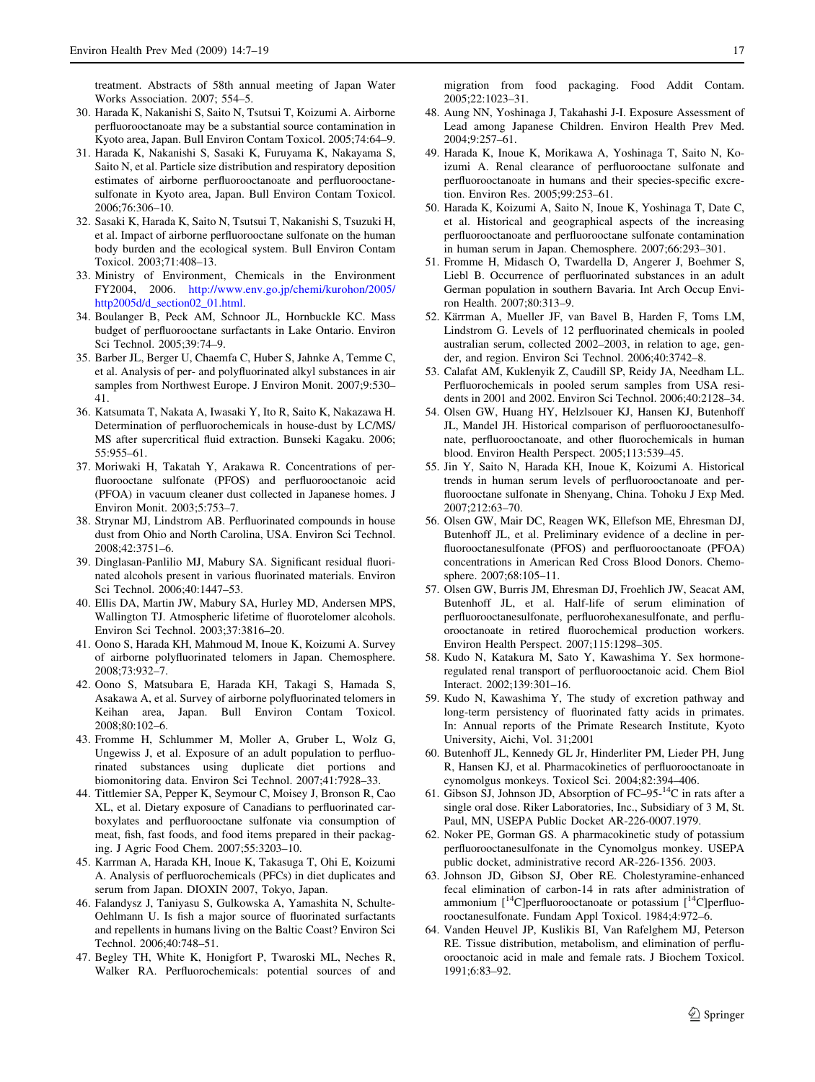<span id="page-10-0"></span>treatment. Abstracts of 58th annual meeting of Japan Water Works Association. 2007; 554–5.

- 30. Harada K, Nakanishi S, Saito N, Tsutsui T, Koizumi A. Airborne perfluorooctanoate may be a substantial source contamination in Kyoto area, Japan. Bull Environ Contam Toxicol. 2005;74:64–9.
- 31. Harada K, Nakanishi S, Sasaki K, Furuyama K, Nakayama S, Saito N, et al. Particle size distribution and respiratory deposition estimates of airborne perfluorooctanoate and perfluorooctanesulfonate in Kyoto area, Japan. Bull Environ Contam Toxicol. 2006;76:306–10.
- 32. Sasaki K, Harada K, Saito N, Tsutsui T, Nakanishi S, Tsuzuki H, et al. Impact of airborne perfluorooctane sulfonate on the human body burden and the ecological system. Bull Environ Contam Toxicol. 2003;71:408–13.
- 33. Ministry of Environment, Chemicals in the Environment FY2004, 2006. [http://www.env.go.jp/chemi/kurohon/2005/](http://www.env.go.jp/chemi/kurohon/2005/http2005d/d_section02_01.html) [http2005d/d\\_section02\\_01.html.](http://www.env.go.jp/chemi/kurohon/2005/http2005d/d_section02_01.html)
- 34. Boulanger B, Peck AM, Schnoor JL, Hornbuckle KC. Mass budget of perfluorooctane surfactants in Lake Ontario. Environ Sci Technol. 2005;39:74–9.
- 35. Barber JL, Berger U, Chaemfa C, Huber S, Jahnke A, Temme C, et al. Analysis of per- and polyfluorinated alkyl substances in air samples from Northwest Europe. J Environ Monit. 2007;9:530– 41.
- 36. Katsumata T, Nakata A, Iwasaki Y, Ito R, Saito K, Nakazawa H. Determination of perfluorochemicals in house-dust by LC/MS/ MS after supercritical fluid extraction. Bunseki Kagaku. 2006; 55:955–61.
- 37. Moriwaki H, Takatah Y, Arakawa R. Concentrations of perfluorooctane sulfonate (PFOS) and perfluorooctanoic acid (PFOA) in vacuum cleaner dust collected in Japanese homes. J Environ Monit. 2003;5:753–7.
- 38. Strynar MJ, Lindstrom AB. Perfluorinated compounds in house dust from Ohio and North Carolina, USA. Environ Sci Technol. 2008;42:3751–6.
- 39. Dinglasan-Panlilio MJ, Mabury SA. Significant residual fluorinated alcohols present in various fluorinated materials. Environ Sci Technol. 2006;40:1447–53.
- 40. Ellis DA, Martin JW, Mabury SA, Hurley MD, Andersen MPS, Wallington TJ. Atmospheric lifetime of fluorotelomer alcohols. Environ Sci Technol. 2003;37:3816–20.
- 41. Oono S, Harada KH, Mahmoud M, Inoue K, Koizumi A. Survey of airborne polyfluorinated telomers in Japan. Chemosphere. 2008;73:932–7.
- 42. Oono S, Matsubara E, Harada KH, Takagi S, Hamada S, Asakawa A, et al. Survey of airborne polyfluorinated telomers in Keihan area, Japan. Bull Environ Contam Toxicol. 2008;80:102–6.
- 43. Fromme H, Schlummer M, Moller A, Gruber L, Wolz G, Ungewiss J, et al. Exposure of an adult population to perfluorinated substances using duplicate diet portions and biomonitoring data. Environ Sci Technol. 2007;41:7928–33.
- 44. Tittlemier SA, Pepper K, Seymour C, Moisey J, Bronson R, Cao XL, et al. Dietary exposure of Canadians to perfluorinated carboxylates and perfluorooctane sulfonate via consumption of meat, fish, fast foods, and food items prepared in their packaging. J Agric Food Chem. 2007;55:3203–10.
- 45. Karrman A, Harada KH, Inoue K, Takasuga T, Ohi E, Koizumi A. Analysis of perfluorochemicals (PFCs) in diet duplicates and serum from Japan. DIOXIN 2007, Tokyo, Japan.
- 46. Falandysz J, Taniyasu S, Gulkowska A, Yamashita N, Schulte-Oehlmann U. Is fish a major source of fluorinated surfactants and repellents in humans living on the Baltic Coast? Environ Sci Technol. 2006;40:748–51.
- 47. Begley TH, White K, Honigfort P, Twaroski ML, Neches R, Walker RA. Perfluorochemicals: potential sources of and

migration from food packaging. Food Addit Contam. 2005;22:1023–31.

- 48. Aung NN, Yoshinaga J, Takahashi J-I. Exposure Assessment of Lead among Japanese Children. Environ Health Prev Med. 2004;9:257–61.
- 49. Harada K, Inoue K, Morikawa A, Yoshinaga T, Saito N, Koizumi A. Renal clearance of perfluorooctane sulfonate and perfluorooctanoate in humans and their species-specific excretion. Environ Res. 2005;99:253–61.
- 50. Harada K, Koizumi A, Saito N, Inoue K, Yoshinaga T, Date C, et al. Historical and geographical aspects of the increasing perfluorooctanoate and perfluorooctane sulfonate contamination in human serum in Japan. Chemosphere. 2007;66:293–301.
- 51. Fromme H, Midasch O, Twardella D, Angerer J, Boehmer S, Liebl B. Occurrence of perfluorinated substances in an adult German population in southern Bavaria. Int Arch Occup Environ Health. 2007;80:313–9.
- 52. Kärrman A, Mueller JF, van Bavel B, Harden F, Toms LM, Lindstrom G. Levels of 12 perfluorinated chemicals in pooled australian serum, collected 2002–2003, in relation to age, gender, and region. Environ Sci Technol. 2006;40:3742–8.
- 53. Calafat AM, Kuklenyik Z, Caudill SP, Reidy JA, Needham LL. Perfluorochemicals in pooled serum samples from USA residents in 2001 and 2002. Environ Sci Technol. 2006;40:2128–34.
- 54. Olsen GW, Huang HY, Helzlsouer KJ, Hansen KJ, Butenhoff JL, Mandel JH. Historical comparison of perfluorooctanesulfonate, perfluorooctanoate, and other fluorochemicals in human blood. Environ Health Perspect. 2005;113:539–45.
- 55. Jin Y, Saito N, Harada KH, Inoue K, Koizumi A. Historical trends in human serum levels of perfluorooctanoate and perfluorooctane sulfonate in Shenyang, China. Tohoku J Exp Med. 2007;212:63–70.
- 56. Olsen GW, Mair DC, Reagen WK, Ellefson ME, Ehresman DJ, Butenhoff JL, et al. Preliminary evidence of a decline in perfluorooctanesulfonate (PFOS) and perfluorooctanoate (PFOA) concentrations in American Red Cross Blood Donors. Chemosphere. 2007;68:105–11.
- 57. Olsen GW, Burris JM, Ehresman DJ, Froehlich JW, Seacat AM, Butenhoff JL, et al. Half-life of serum elimination of perfluorooctanesulfonate, perfluorohexanesulfonate, and perfluorooctanoate in retired fluorochemical production workers. Environ Health Perspect. 2007;115:1298–305.
- 58. Kudo N, Katakura M, Sato Y, Kawashima Y. Sex hormoneregulated renal transport of perfluorooctanoic acid. Chem Biol Interact. 2002;139:301–16.
- 59. Kudo N, Kawashima Y, The study of excretion pathway and long-term persistency of fluorinated fatty acids in primates. In: Annual reports of the Primate Research Institute, Kyoto University, Aichi, Vol. 31;2001
- 60. Butenhoff JL, Kennedy GL Jr, Hinderliter PM, Lieder PH, Jung R, Hansen KJ, et al. Pharmacokinetics of perfluorooctanoate in cynomolgus monkeys. Toxicol Sci. 2004;82:394–406.
- 61. Gibson SJ, Johnson JD, Absorption of  $FC-95<sup>-14</sup>C$  in rats after a single oral dose. Riker Laboratories, Inc., Subsidiary of 3 M, St. Paul, MN, USEPA Public Docket AR-226-0007.1979.
- 62. Noker PE, Gorman GS. A pharmacokinetic study of potassium perfluorooctanesulfonate in the Cynomolgus monkey. USEPA public docket, administrative record AR-226-1356. 2003.
- 63. Johnson JD, Gibson SJ, Ober RE. Cholestyramine-enhanced fecal elimination of carbon-14 in rats after administration of ammonium  $[14C]$ perfluorooctanoate or potassium  $[14C]$ perfluorooctanesulfonate. Fundam Appl Toxicol. 1984;4:972–6.
- 64. Vanden Heuvel JP, Kuslikis BI, Van Rafelghem MJ, Peterson RE. Tissue distribution, metabolism, and elimination of perfluorooctanoic acid in male and female rats. J Biochem Toxicol. 1991;6:83–92.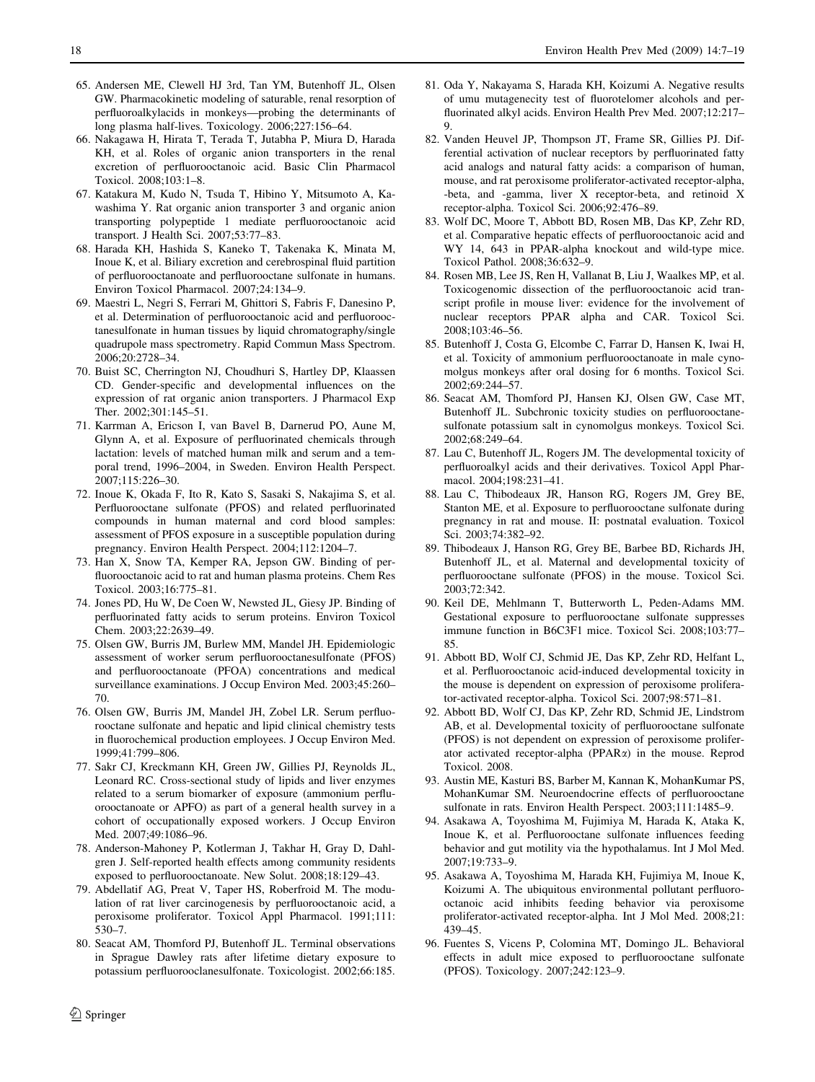- <span id="page-11-0"></span>65. Andersen ME, Clewell HJ 3rd, Tan YM, Butenhoff JL, Olsen GW. Pharmacokinetic modeling of saturable, renal resorption of perfluoroalkylacids in monkeys—probing the determinants of long plasma half-lives. Toxicology. 2006;227:156–64.
- 66. Nakagawa H, Hirata T, Terada T, Jutabha P, Miura D, Harada KH, et al. Roles of organic anion transporters in the renal excretion of perfluorooctanoic acid. Basic Clin Pharmacol Toxicol. 2008;103:1–8.
- 67. Katakura M, Kudo N, Tsuda T, Hibino Y, Mitsumoto A, Kawashima Y. Rat organic anion transporter 3 and organic anion transporting polypeptide 1 mediate perfluorooctanoic acid transport. J Health Sci. 2007;53:77–83.
- 68. Harada KH, Hashida S, Kaneko T, Takenaka K, Minata M, Inoue K, et al. Biliary excretion and cerebrospinal fluid partition of perfluorooctanoate and perfluorooctane sulfonate in humans. Environ Toxicol Pharmacol. 2007;24:134–9.
- 69. Maestri L, Negri S, Ferrari M, Ghittori S, Fabris F, Danesino P, et al. Determination of perfluorooctanoic acid and perfluorooctanesulfonate in human tissues by liquid chromatography/single quadrupole mass spectrometry. Rapid Commun Mass Spectrom. 2006;20:2728–34.
- 70. Buist SC, Cherrington NJ, Choudhuri S, Hartley DP, Klaassen CD. Gender-specific and developmental influences on the expression of rat organic anion transporters. J Pharmacol Exp Ther. 2002;301:145–51.
- 71. Karrman A, Ericson I, van Bavel B, Darnerud PO, Aune M, Glynn A, et al. Exposure of perfluorinated chemicals through lactation: levels of matched human milk and serum and a temporal trend, 1996–2004, in Sweden. Environ Health Perspect. 2007;115:226–30.
- 72. Inoue K, Okada F, Ito R, Kato S, Sasaki S, Nakajima S, et al. Perfluorooctane sulfonate (PFOS) and related perfluorinated compounds in human maternal and cord blood samples: assessment of PFOS exposure in a susceptible population during pregnancy. Environ Health Perspect. 2004;112:1204–7.
- 73. Han X, Snow TA, Kemper RA, Jepson GW. Binding of perfluorooctanoic acid to rat and human plasma proteins. Chem Res Toxicol. 2003;16:775–81.
- 74. Jones PD, Hu W, De Coen W, Newsted JL, Giesy JP. Binding of perfluorinated fatty acids to serum proteins. Environ Toxicol Chem. 2003;22:2639–49.
- 75. Olsen GW, Burris JM, Burlew MM, Mandel JH. Epidemiologic assessment of worker serum perfluorooctanesulfonate (PFOS) and perfluorooctanoate (PFOA) concentrations and medical surveillance examinations. J Occup Environ Med. 2003;45:260– 70.
- 76. Olsen GW, Burris JM, Mandel JH, Zobel LR. Serum perfluorooctane sulfonate and hepatic and lipid clinical chemistry tests in fluorochemical production employees. J Occup Environ Med. 1999;41:799–806.
- 77. Sakr CJ, Kreckmann KH, Green JW, Gillies PJ, Reynolds JL, Leonard RC. Cross-sectional study of lipids and liver enzymes related to a serum biomarker of exposure (ammonium perfluorooctanoate or APFO) as part of a general health survey in a cohort of occupationally exposed workers. J Occup Environ Med. 2007;49:1086–96.
- 78. Anderson-Mahoney P, Kotlerman J, Takhar H, Gray D, Dahlgren J. Self-reported health effects among community residents exposed to perfluorooctanoate. New Solut. 2008;18:129–43.
- 79. Abdellatif AG, Preat V, Taper HS, Roberfroid M. The modulation of rat liver carcinogenesis by perfluorooctanoic acid, a peroxisome proliferator. Toxicol Appl Pharmacol. 1991;111: 530–7.
- 80. Seacat AM, Thomford PJ, Butenhoff JL. Terminal observations in Sprague Dawley rats after lifetime dietary exposure to potassium perfluorooclanesulfonate. Toxicologist. 2002;66:185.
- 82. Vanden Heuvel JP, Thompson JT, Frame SR, Gillies PJ. Differential activation of nuclear receptors by perfluorinated fatty acid analogs and natural fatty acids: a comparison of human, mouse, and rat peroxisome proliferator-activated receptor-alpha, -beta, and -gamma, liver X receptor-beta, and retinoid X receptor-alpha. Toxicol Sci. 2006;92:476–89.
- 83. Wolf DC, Moore T, Abbott BD, Rosen MB, Das KP, Zehr RD, et al. Comparative hepatic effects of perfluorooctanoic acid and WY 14, 643 in PPAR-alpha knockout and wild-type mice. Toxicol Pathol. 2008;36:632–9.
- 84. Rosen MB, Lee JS, Ren H, Vallanat B, Liu J, Waalkes MP, et al. Toxicogenomic dissection of the perfluorooctanoic acid transcript profile in mouse liver: evidence for the involvement of nuclear receptors PPAR alpha and CAR. Toxicol Sci. 2008;103:46–56.
- 85. Butenhoff J, Costa G, Elcombe C, Farrar D, Hansen K, Iwai H, et al. Toxicity of ammonium perfluorooctanoate in male cynomolgus monkeys after oral dosing for 6 months. Toxicol Sci. 2002;69:244–57.
- 86. Seacat AM, Thomford PJ, Hansen KJ, Olsen GW, Case MT, Butenhoff JL. Subchronic toxicity studies on perfluorooctanesulfonate potassium salt in cynomolgus monkeys. Toxicol Sci. 2002;68:249–64.
- 87. Lau C, Butenhoff JL, Rogers JM. The developmental toxicity of perfluoroalkyl acids and their derivatives. Toxicol Appl Pharmacol. 2004;198:231–41.
- 88. Lau C, Thibodeaux JR, Hanson RG, Rogers JM, Grey BE, Stanton ME, et al. Exposure to perfluorooctane sulfonate during pregnancy in rat and mouse. II: postnatal evaluation. Toxicol Sci. 2003;74:382–92.
- 89. Thibodeaux J, Hanson RG, Grey BE, Barbee BD, Richards JH, Butenhoff JL, et al. Maternal and developmental toxicity of perfluorooctane sulfonate (PFOS) in the mouse. Toxicol Sci. 2003;72:342.
- 90. Keil DE, Mehlmann T, Butterworth L, Peden-Adams MM. Gestational exposure to perfluorooctane sulfonate suppresses immune function in B6C3F1 mice. Toxicol Sci. 2008;103:77– 85.
- 91. Abbott BD, Wolf CJ, Schmid JE, Das KP, Zehr RD, Helfant L, et al. Perfluorooctanoic acid-induced developmental toxicity in the mouse is dependent on expression of peroxisome proliferator-activated receptor-alpha. Toxicol Sci. 2007;98:571–81.
- 92. Abbott BD, Wolf CJ, Das KP, Zehr RD, Schmid JE, Lindstrom AB, et al. Developmental toxicity of perfluorooctane sulfonate (PFOS) is not dependent on expression of peroxisome proliferator activated receptor-alpha (PPARa) in the mouse. Reprod Toxicol. 2008.
- 93. Austin ME, Kasturi BS, Barber M, Kannan K, MohanKumar PS, MohanKumar SM. Neuroendocrine effects of perfluorooctane sulfonate in rats. Environ Health Perspect. 2003;111:1485–9.
- 94. Asakawa A, Toyoshima M, Fujimiya M, Harada K, Ataka K, Inoue K, et al. Perfluorooctane sulfonate influences feeding behavior and gut motility via the hypothalamus. Int J Mol Med. 2007;19:733–9.
- 95. Asakawa A, Toyoshima M, Harada KH, Fujimiya M, Inoue K, Koizumi A. The ubiquitous environmental pollutant perfluorooctanoic acid inhibits feeding behavior via peroxisome proliferator-activated receptor-alpha. Int J Mol Med. 2008;21: 439–45.
- 96. Fuentes S, Vicens P, Colomina MT, Domingo JL. Behavioral effects in adult mice exposed to perfluorooctane sulfonate (PFOS). Toxicology. 2007;242:123–9.